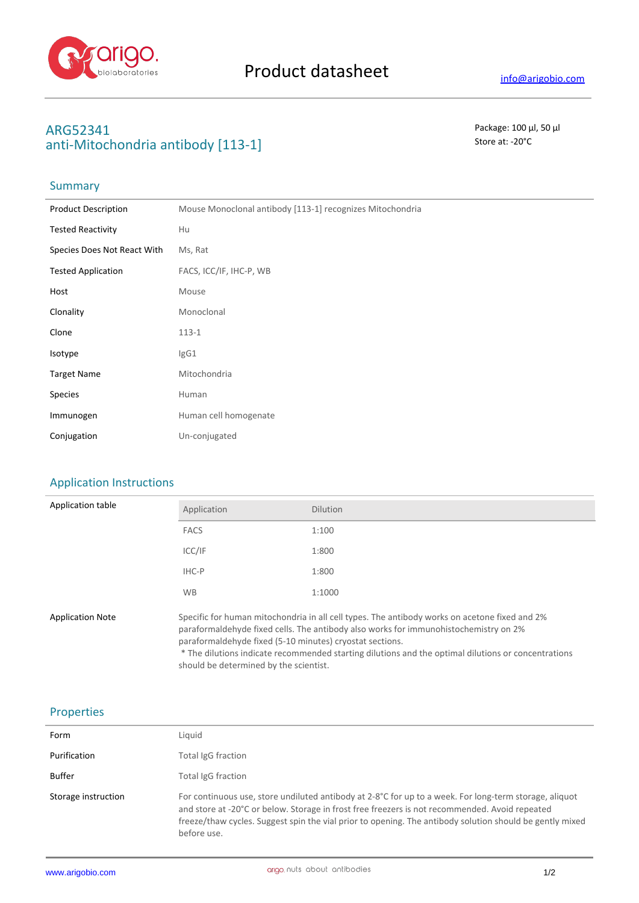

# **ARG52341** Package: 100 μl, 50 μl anti-Mitochondria antibody [113-1] Store at: -20<sup>°</sup>C

# Summary

| <b>Product Description</b>  | Mouse Monoclonal antibody [113-1] recognizes Mitochondria |
|-----------------------------|-----------------------------------------------------------|
| <b>Tested Reactivity</b>    | Hu                                                        |
| Species Does Not React With | Ms, Rat                                                   |
| <b>Tested Application</b>   | FACS, ICC/IF, IHC-P, WB                                   |
| Host                        | Mouse                                                     |
| Clonality                   | Monoclonal                                                |
| Clone                       | $113 - 1$                                                 |
| Isotype                     | IgG1                                                      |
| <b>Target Name</b>          | Mitochondria                                              |
| Species                     | Human                                                     |
| Immunogen                   | Human cell homogenate                                     |
| Conjugation                 | Un-conjugated                                             |

### Application Instructions

| Application table       | Application                                                                                                                                                                                                                                                                                                                                                                                        | <b>Dilution</b> |
|-------------------------|----------------------------------------------------------------------------------------------------------------------------------------------------------------------------------------------------------------------------------------------------------------------------------------------------------------------------------------------------------------------------------------------------|-----------------|
|                         | <b>FACS</b>                                                                                                                                                                                                                                                                                                                                                                                        | 1:100           |
|                         | ICC/IF                                                                                                                                                                                                                                                                                                                                                                                             | 1:800           |
|                         | IHC-P                                                                                                                                                                                                                                                                                                                                                                                              | 1:800           |
|                         | <b>WB</b>                                                                                                                                                                                                                                                                                                                                                                                          | 1:1000          |
| <b>Application Note</b> | Specific for human mitochondria in all cell types. The antibody works on acetone fixed and 2%<br>paraformaldehyde fixed cells. The antibody also works for immunohistochemistry on 2%<br>paraformaldehyde fixed (5-10 minutes) cryostat sections.<br>* The dilutions indicate recommended starting dilutions and the optimal dilutions or concentrations<br>should be determined by the scientist. |                 |

### Properties

| Form                | Liguid                                                                                                                                                                                                                                                                                                                              |
|---------------------|-------------------------------------------------------------------------------------------------------------------------------------------------------------------------------------------------------------------------------------------------------------------------------------------------------------------------------------|
| Purification        | Total IgG fraction                                                                                                                                                                                                                                                                                                                  |
| Buffer              | Total IgG fraction                                                                                                                                                                                                                                                                                                                  |
| Storage instruction | For continuous use, store undiluted antibody at 2-8°C for up to a week. For long-term storage, aliquot<br>and store at -20°C or below. Storage in frost free freezers is not recommended. Avoid repeated<br>freeze/thaw cycles. Suggest spin the vial prior to opening. The antibody solution should be gently mixed<br>before use. |